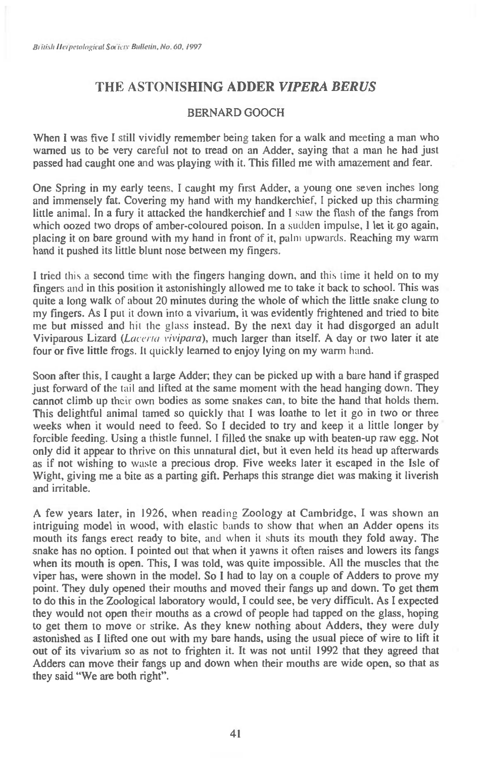## **THE ASTONISHING ADDER** *VIPERA BERUS*

## BERNARD GOOCH

When I was five I still vividly remember being taken for a walk and meeting a man who warned us to be very careful not to tread on an Adder, saying that a man he had just passed had caught one and was playing with it. This filled me with amazement and fear.

One Spring in my early teens, I caught my first Adder, a young one seven inches long and immensely fat. Covering my hand with my handkerchief, I picked up this charming little animal. In a fury it attacked the handkerchief and I saw the flash of the fangs from which oozed two drops of amber-coloured poison. In a sudden impulse, I let it go again, placing it on bare ground with my hand in front of it, palm upwards. Reaching my warm hand it pushed its little blunt nose between my fingers.

I tried this a second time with the fingers hanging down, and this time it held on to my fingers and in this position it astonishingly allowed me to take it back to school. This was quite a long walk of about 20 minutes during the whole of which the little snake clung to my fingers. As I put it down into a vivarium, it was evidently frightened and tried to bite me but missed and hit the glass instead. By the next day it had disgorged an adult Viviparous Lizard *(Lacerta rivipara),* much larger than itself. A day or two later it ate four or five little frogs. It quickly learned to enjoy lying on my warm hand.

Soon after this, I caught a large Adder; they can be picked up with a bare hand if grasped just forward of the tail and lifted at the same moment with the head hanging down. They cannot climb up their own bodies as some snakes can, to bite the hand that holds them. This delightful animal tamed so quickly that I was loathe to let it go in two or three weeks when it would need to feed. So I decided to try and keep it a little longer by forcible feeding. Using a thistle funnel. I tilled the snake up with beaten-up raw egg. Not only did it appear to thrive on this unnatural diet, but it even held its head up afterwards as if not wishing to waste a precious drop. Five weeks later it escaped in the Isle of Wight, giving me a bite as a parting gift. Perhaps this strange diet was making it liverish and irritable.

A few years later, in 1926, when reading Zoology at Cambridge, I was shown an intriguing model in wood, with elastic bands to show that when an Adder opens its mouth its fangs erect ready to bite, and when it shuts its mouth they fold away. The snake has no option. I pointed out that when it yawns it often raises and lowers its fangs when its mouth is open. This, I was told, was quite impossible. All the muscles that the viper has, were shown in the model. So I had to lay on a couple of Adders to prove my point. They duly opened their mouths and moved their fangs up and down. To get them to do this in the Zoological laboratory would, I could see, be very difficult. As I expected they would not open their mouths as a crowd of people had tapped on the glass, hoping to get them to move or strike. As they knew nothing about Adders, they were duly astonished as I lifted one out with my bare hands, using the usual piece of wire to lift it out of its vivarium so as not to frighten it. It was not until 1992 that they agreed that Adders can move their fangs up and down when their mouths are wide open, so that as they said "We are both right".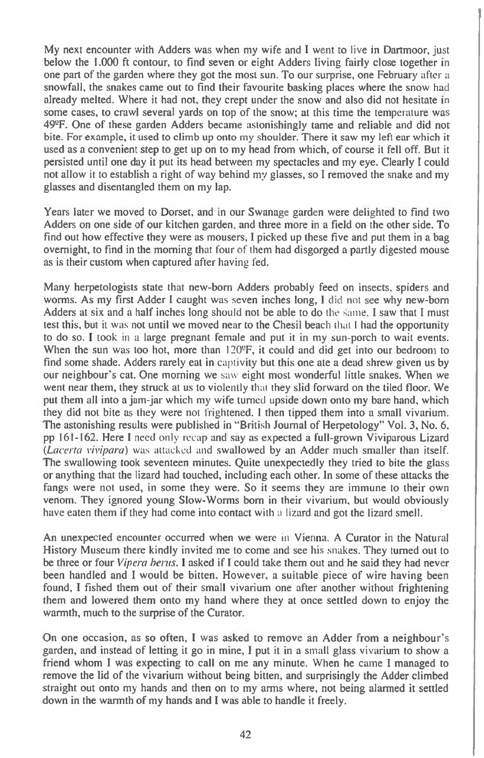**My next encounter with Adders was when my wife and I went to live in Dartmoor, just below the 1.000 ft contour, to find seven or eight Adders living fairly close together in one part of the garden where they got the most sun. To our surprise, one February** after a **snowfall, the snakes came out to find their favourite basking places where the snow** had **already melted. Where it had not, they crept under the snow and also did not hesitate in some cases, to crawl several yards on top of the snow; at this time the temperature was**  49<sup>o</sup>F. One of these garden Adders became astonishingly tame and reliable and did not **bite. For example, it used to climb up onto my shoulder. There it saw my left ear which it used as a convenient step to get up on to my head from which, of course it fell off. But it persisted until one day it put its head between my spectacles and my eye. Clearly I could not allow it to establish a right of way behind my glasses, so I removed the snake and my glasses and disentangled them on my lap.** 

**Years later we moved to Dorset, and in our Swanage garden were delighted to find two Adders on one side of our kitchen garden, and three more in a field on the other side. To find out how effective they were as mousers, I picked up these five and put them in a bag overnight, to find in the morning that four** of them **had disgorged a partly digested mouse as is their custom when captured after having fed.** 

**Many herpetologists state that new-born Adders probably feed on insects, spiders and worms. As my first Adder I caught was seven inches long, I** did not **see why new-born Adders at six and a half inches long should not be able to do** the same. **I saw that I must test this, but** it was **not until we moved near to the Chesil** beach that I **had the opportunity to do so. I took** in **a large pregnant female and put it in my sun-porch to wait events. When the sun** was **too hot, more than** 1209F, **it could and did get into our bedroom to find some shade. Adders rarely eat in** captivity **but this one ate a dead shrew given us by our neighbour's cat. One morning we** saw **eight most wonderful little snakes. When we went near them, they struck at us to violently that they slid forward on the tiled floor. We put them all into a jam-jar which my wife turned upside down onto my bare hand, which they did not bite as they were** not frightened. **I then tipped them into a small vivarium. The astonishing results were published in "British Journal of Herpetology" Vol. 3, No. 6, pp 161-162. Here I** need only recap and say as expected **a full-grown Viviparous Lizard**  *(Laeerta vivipara)* was attacked and swallowed by an Adder much smaller than **itself. The swallowing took seventeen minutes. Quite unexpectedly they tried to bite the glass or anything that the lizard had touched, including each other. In some of these attacks the fangs were not used, in some they were. So it seems they are immune to their own venom. They ignored young Slow-Worms born in their vivarium, but would obviously**  have eaten them if they had come into contact with a lizard **and got the lizard smell.** 

**An unexpected encounter occurred when we were** in Vienna. **A Curator in the Natural History Museum there kindly invited me to come and see his snakes. They turned out to be three or four** *Vipera bents. I* **asked if I could take them out and he said they had never been handled and I would be bitten. However, a suitable piece of wire having been found, I fished them out of their small vivarium one after another without frightening them and lowered them onto my hand where they at once settled down to enjoy the warmth, much to the surprise of the Curator.** 

**On one occasion, as so often, I was asked to remove an Adder from a neighbour's garden, and instead of letting it go in mine, I put it in a small glass vivarium to show a friend whom I was expecting to call on me any minute. When he came I managed to remove the lid of the vivarium without being bitten, and surprisingly the Adder climbed straight out onto my hands and then on to my arms where, not being alarmed it settled down in the warmth of my hands and I was able to handle it freely.**